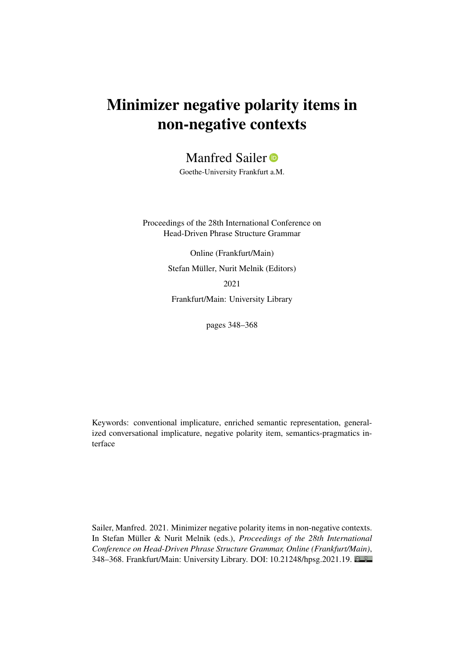# Minimizer negative polarity items in non-negative contexts

Manfred Sailer<sup>®</sup>

Goethe-University Frankfurt a.M.

Proceedings of the 28th International Conference on Head-Driven Phrase Structure Grammar

> Online (Frankfurt/Main) Stefan Müller, Nurit Melnik (Editors) 2021

Frankfurt/Main: University Library

pages 348–368

Keywords: conventional implicature, enriched semantic representation, generalized conversational implicature, negative polarity item, semantics-pragmatics interface

Sailer, Manfred. 2021. Minimizer negative polarity items in non-negative contexts. In Stefan Müller & Nurit Melnik (eds.), *Proceedings of the 28th International Conference on Head-Driven Phrase Structure Grammar, Online (Frankfurt/Main)*, 348–368. Frankfurt/Main: University Library. DOI: [10.21248/hpsg.2021.19.](http://doi.org/10.21248/hpsg.2021.19)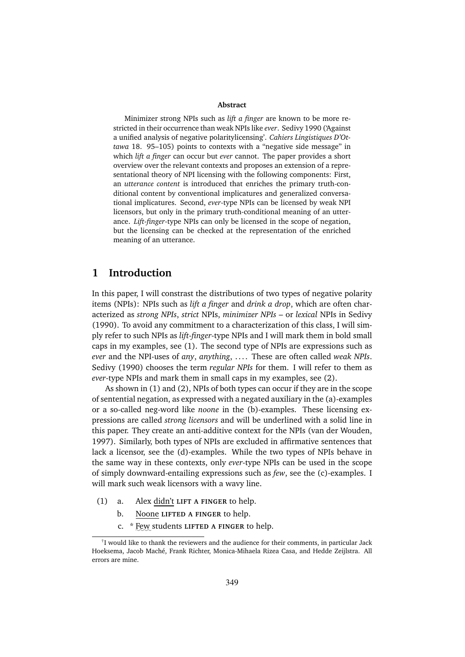#### **Abstract**

Minimizer strong NPIs such as *lift a finger* are known to be more restricted in their occurrence than weak NPIs like *ever*. Sedivy 1990 ('Against a unified analysis of negative polaritylicensing'. *Cahiers Lingistiques D'Ottawa* 18. 95–105) points to contexts with a "negative side message" in which *lift a finger* can occur but *ever* cannot. The paper provides a short overview over the relevant contexts and proposes an extension of a representational theory of NPI licensing with the following components: First, an *utterance content* is introduced that enriches the primary truth-conditional content by conventional implicatures and generalized conversational implicatures. Second, *ever*-type NPIs can be licensed by weak NPI licensors, but only in the primary truth-conditional meaning of an utterance. *Lift-finger*-type NPIs can only be licensed in the scope of negation, but the licensing can be checked at the representation of the enriched meaning of an utterance.

# **1 Introduction**

In this paper, I will constrast the distributions of two types of negative polarity items (NPIs): NPIs such as *lift a finger* and *drink a drop*, which are often characterized as *strong NPIs*, *strict* NPIs, *minimizer NPIs* – or *lexical* NPIs in Sedivy (1990). To avoid any commitment to a characterization of this class, I will simply refer to such NPIs as *lift-finger*-type NPIs and I will mark them in bold small caps in my examples, see (1). The second type of NPIs are expressions such as *ever* and the NPI-uses of *any*, *anything*, . . . . These are often called *weak NPIs*. Sedivy (1990) chooses the term *regular NPIs* for them. I will refer to them as *ever*-type NPIs and mark them in small caps in my examples, see (2).

As shown in (1) and (2), NPIs of both types can occur if they are in the scope of sentential negation, as expressed with a negated auxiliary in the (a)-examples or a so-called neg-word like *noone* in the (b)-examples. These licensing expressions are called *strong licensors* and will be underlined with a solid line in this paper. They create an anti-additive context for the NPIs (van der Wouden, 1997). Similarly, both types of NPIs are excluded in affirmative sentences that lack a licensor, see the (d)-examples. While the two types of NPIs behave in the same way in these contexts, only *ever*-type NPIs can be used in the scope of simply downward-entailing expressions such as *few*, see the (c)-examples. I will mark such weak licensors with a wavy line.

- (1) a. Alex didn't **LIFT A FINGER** to help.
	- b. Noone **LIFTED A FINGER** to help.
	- c. \* Few students LIFTED A FINGER to help.

<sup>&</sup>lt;sup>†</sup>I would like to thank the reviewers and the audience for their comments, in particular Jack Hoeksema, Jacob Maché, Frank Richter, Monica-Mihaela Rizea Casa, and Hedde Zeijlstra. All errors are mine.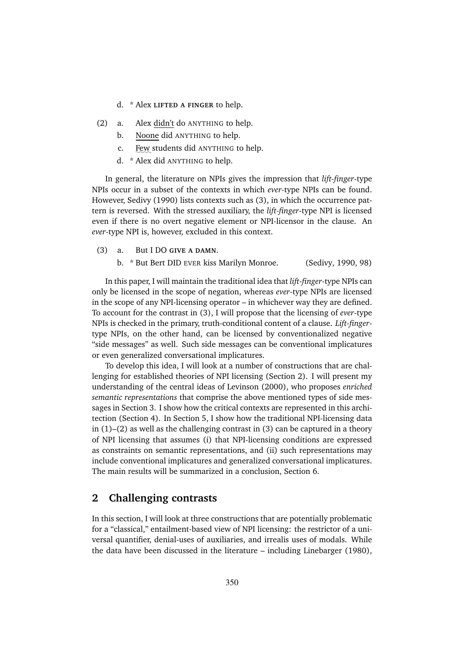- d. \* Alex **LIFTED A FINGER** to help.
- (2) a. Alex didn't do ANYTHING to help.
	- b. Noone did ANYTHING to help.
	- c. Few students did ANYTHING to help.
	- d. \* Alex did ANYTHING to help.

In general, the literature on NPIs gives the impression that *lift-finger*-type NPIs occur in a subset of the contexts in which *ever*-type NPIs can be found. However, Sedivy (1990) lists contexts such as (3), in which the occurrence pattern is reversed. With the stressed auxiliary, the *lift-finger*-type NPI is licensed even if there is no overt negative element or NPI-licensor in the clause. An *ever*-type NPI is, however, excluded in this context.

- (3) a. But I DO **GIVE A DAMN**.
	- b. \* But Bert DID EVER kiss Marilyn Monroe. (Sedivy, 1990, 98)

In this paper, I will maintain the traditional idea that *lift-finger*-type NPIs can only be licensed in the scope of negation, whereas *ever*-type NPIs are licensed in the scope of any NPI-licensing operator – in whichever way they are defined. To account for the contrast in (3), I will propose that the licensing of *ever*-type NPIs is checked in the primary, truth-conditional content of a clause. *Lift-finger*type NPIs, on the other hand, can be licensed by conventionalized negative "side messages" as well. Such side messages can be conventional implicatures or even generalized conversational implicatures.

To develop this idea, I will look at a number of constructions that are challenging for established theories of NPI licensing (Section 2). I will present my understanding of the central ideas of Levinson (2000), who proposes *enriched semantic representations* that comprise the above mentioned types of side messages in Section 3. I show how the critical contexts are represented in this architection (Section 4). In Section 5, I show how the traditional NPI-licensing data in  $(1)$ – $(2)$  as well as the challenging contrast in  $(3)$  can be captured in a theory of NPI licensing that assumes (i) that NPI-licensing conditions are expressed as constraints on semantic representations, and (ii) such representations may include conventional implicatures and generalized conversational implicatures. The main results will be summarized in a conclusion, Section 6.

## **2 Challenging contrasts**

In this section, I will look at three constructions that are potentially problematic for a "classical," entailment-based view of NPI licensing: the restrictor of a universal quantifier, denial-uses of auxiliaries, and irrealis uses of modals. While the data have been discussed in the literature – including Linebarger (1980),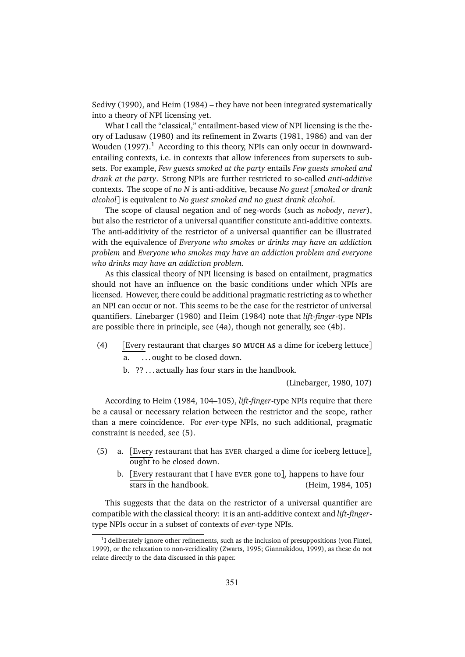Sedivy (1990), and Heim (1984) – they have not been integrated systematically into a theory of NPI licensing yet.

What I call the "classical," entailment-based view of NPI licensing is the theory of Ladusaw (1980) and its refinement in Zwarts (1981, 1986) and van der Wouden  $(1997).$ <sup>1</sup> According to this theory, NPIs can only occur in downwardentailing contexts, i.e. in contexts that allow inferences from supersets to subsets. For example, *Few guests smoked at the party* entails *Few guests smoked and drank at the party*. Strong NPIs are further restricted to so-called *anti-additive* contexts. The scope of *no N* is anti-additive, because *No guest* [*smoked or drank alcohol*] is equivalent to *No guest smoked and no guest drank alcohol*.

The scope of clausal negation and of neg-words (such as *nobody*, *never*), but also the restrictor of a universal quantifier constitute anti-additive contexts. The anti-additivity of the restrictor of a universal quantifier can be illustrated with the equivalence of *Everyone who smokes or drinks may have an addiction problem* and *Everyone who smokes may have an addiction problem and everyone who drinks may have an addiction problem*.

As this classical theory of NPI licensing is based on entailment, pragmatics should not have an influence on the basic conditions under which NPIs are licensed. However, there could be additional pragmatic restricting as to whether an NPI can occur or not. This seems to be the case for the restrictor of universal quantifiers. Linebarger (1980) and Heim (1984) note that *lift-finger*-type NPIs are possible there in principle, see (4a), though not generally, see (4b).

- (4) [Every restaurant that charges **SO MUCH AS** a dime for iceberg lettuce] ... ought to be closed down.
	- b. ?? . . . actually has four stars in the handbook.

(Linebarger, 1980, 107)

According to Heim (1984, 104–105), *lift-finger*-type NPIs require that there be a causal or necessary relation between the restrictor and the scope, rather than a mere coincidence. For *ever*-type NPIs, no such additional, pragmatic constraint is needed, see (5).

- (5) a. [Every restaurant that has EVER charged a dime for iceberg lettuce], ought to be closed down.
	- b.  $[$ Every restaurant that I have <code>EvER</code> gone to], happens to have four stars in the handbook. (Heim, 1984, 105)

This suggests that the data on the restrictor of a universal quantifier are compatible with the classical theory: it is an anti-additive context and *lift-finger*type NPIs occur in a subset of contexts of *ever*-type NPIs.

 $1$ I deliberately ignore other refinements, such as the inclusion of presuppositions (von Fintel, 1999), or the relaxation to non-veridicality (Zwarts, 1995; Giannakidou, 1999), as these do not relate directly to the data discussed in this paper.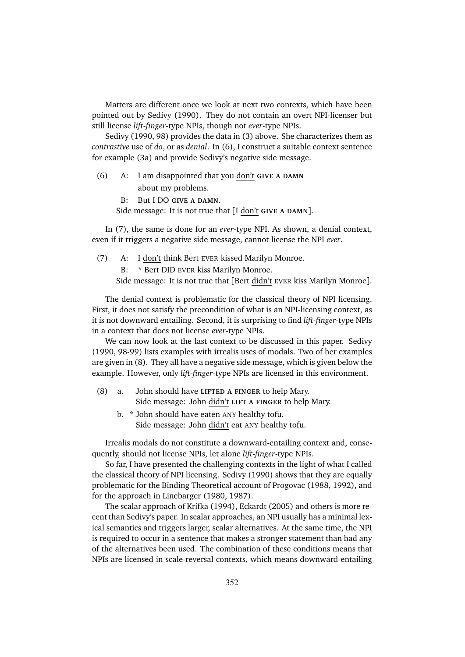Matters are different once we look at next two contexts, which have been pointed out by Sedivy (1990). They do not contain an overt NPI-licenser but still license *lift-finger*-type NPIs, though not *ever*-type NPIs.

Sedivy (1990, 98) provides the data in (3) above. She characterizes them as *contrastive* use of *do*, or as *denial*. In (6), I construct a suitable context sentence for example (3a) and provide Sedivy's negative side message.

- (6) A: I am disappointed that you don't **GIVE A DAMN** about my problems.
	- B: But I DO **GIVE A DAMN**.

Side message: It is not true that [I don't **GIVE A DAMN**].

In (7), the same is done for an *ever*-type NPI. As shown, a denial context, even if it triggers a negative side message, cannot license the NPI *ever*.

(7) A: I don't think Bert EVER kissed Marilyn Monroe.

\* Bert DID EVER kiss Marilyn Monroe.

Side message: It is not true that [Bert didn't EVER kiss Marilyn Monroe].

The denial context is problematic for the classical theory of NPI licensing. First, it does not satisfy the precondition of what is an NPI-licensing context, as it is not downward entailing. Second, it is surprising to find *lift-finger*-type NPIs in a context that does not license *ever*-type NPIs.

We can now look at the last context to be discussed in this paper. Sedivy (1990, 98-99) lists examples with irrealis uses of modals. Two of her examples are given in (8). They all have a negative side message, which is given below the example. However, only *lift-finger*-type NPIs are licensed in this environment.

- (8) a. John should have **LIFTED A FINGER** to help Mary. Side message: John didn't **LIFT A FINGER** to help Mary.
	- b. \* John should have eaten ANY healthy tofu. Side message: John didn't eat ANY healthy tofu.

Irrealis modals do not constitute a downward-entailing context and, consequently, should not license NPIs, let alone *lift-finger*-type NPIs.

So far, I have presented the challenging contexts in the light of what I called the classical theory of NPI licensing. Sedivy (1990) shows that they are equally problematic for the Binding Theoretical account of Progovac (1988, 1992), and for the approach in Linebarger (1980, 1987).

The scalar approach of Krifka (1994), Eckardt (2005) and others is more recent than Sedivy's paper. In scalar approaches, an NPI usually has a minimal lexical semantics and triggers larger, scalar alternatives. At the same time, the NPI is required to occur in a sentence that makes a stronger statement than had any of the alternatives been used. The combination of these conditions means that NPIs are licensed in scale-reversal contexts, which means downward-entailing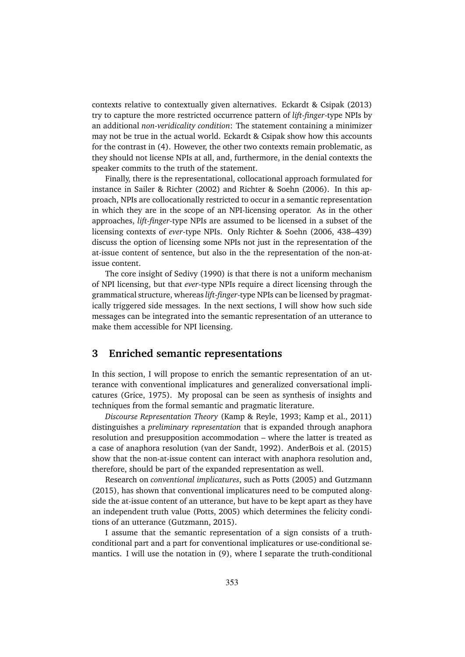contexts relative to contextually given alternatives. Eckardt & Csipak (2013) try to capture the more restricted occurrence pattern of *lift-finger*-type NPIs by an additional *non-veridicality condition*: The statement containing a minimizer may not be true in the actual world. Eckardt & Csipak show how this accounts for the contrast in (4). However, the other two contexts remain problematic, as they should not license NPIs at all, and, furthermore, in the denial contexts the speaker commits to the truth of the statement.

Finally, there is the representational, collocational approach formulated for instance in Sailer & Richter (2002) and Richter & Soehn (2006). In this approach, NPIs are collocationally restricted to occur in a semantic representation in which they are in the scope of an NPI-licensing operator. As in the other approaches, *lift-finger*-type NPIs are assumed to be licensed in a subset of the licensing contexts of *ever*-type NPIs. Only Richter & Soehn (2006, 438–439) discuss the option of licensing some NPIs not just in the representation of the at-issue content of sentence, but also in the the representation of the non-atissue content.

The core insight of Sedivy (1990) is that there is not a uniform mechanism of NPI licensing, but that *ever*-type NPIs require a direct licensing through the grammatical structure, whereas *lift-finger*-type NPIs can be licensed by pragmatically triggered side messages. In the next sections, I will show how such side messages can be integrated into the semantic representation of an utterance to make them accessible for NPI licensing.

# **3 Enriched semantic representations**

In this section, I will propose to enrich the semantic representation of an utterance with conventional implicatures and generalized conversational implicatures (Grice, 1975). My proposal can be seen as synthesis of insights and techniques from the formal semantic and pragmatic literature.

*Discourse Representation Theory* (Kamp & Reyle, 1993; Kamp et al., 2011) distinguishes a *preliminary representation* that is expanded through anaphora resolution and presupposition accommodation – where the latter is treated as a case of anaphora resolution (van der Sandt, 1992). AnderBois et al. (2015) show that the non-at-issue content can interact with anaphora resolution and, therefore, should be part of the expanded representation as well.

Research on *conventional implicatures*, such as Potts (2005) and Gutzmann (2015), has shown that conventional implicatures need to be computed alongside the at-issue content of an utterance, but have to be kept apart as they have an independent truth value (Potts, 2005) which determines the felicity conditions of an utterance (Gutzmann, 2015).

I assume that the semantic representation of a sign consists of a truthconditional part and a part for conventional implicatures or use-conditional semantics. I will use the notation in (9), where I separate the truth-conditional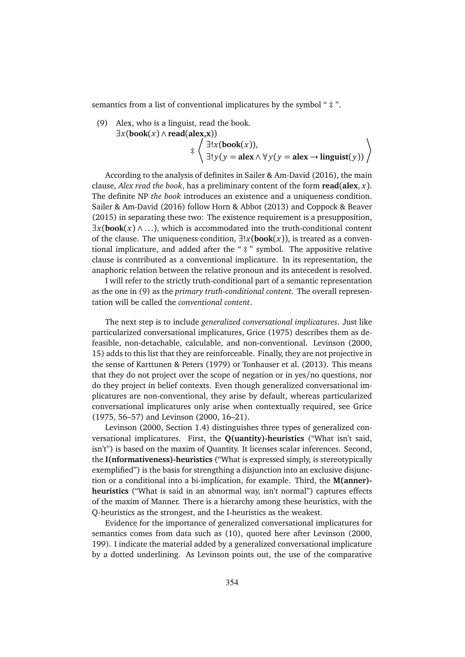semantics from a list of conventional implicatures by the symbol " ‡ ".

(9) Alex, who is a linguist, read the book.

$$
\exists x (book(x) \land read(alex, x))
$$
  

$$
\qquad \qquad \downarrow \left\langle \begin{array}{l} \exists! x (book(x)), \\ \exists! y (y = alex \land \forall y (y = alex \rightarrow linguist(y))) \end{array} \right\rangle
$$

According to the analysis of definites in Sailer & Am-David (2016), the main clause, *Alex read the book*, has a preliminary content of the form **read**(**alex**, *x*). The definite NP *the book* introduces an existence and a uniqueness condition. Sailer & Am-David (2016) follow Horn & Abbot (2013) and Coppock & Beaver (2015) in separating these two: The existence requirement is a presupposition,  $\exists x(\text{book}(x) \land ...)$ , which is accommodated into the truth-conditional content of the clause. The uniqueness condition, ∃!*x*(**book**(*x*)), is treated as a conventional implicature, and added after the " $\ddagger$ " symbol. The appositive relative clause is contributed as a conventional implicature. In its representation, the anaphoric relation between the relative pronoun and its antecedent is resolved.

I will refer to the strictly truth-conditional part of a semantic representation as the one in (9) as the *primary truth-conditional content*. The overall representation will be called the *conventional content*.

The next step is to include *generalized conversational implicatures*. Just like particularized conversational implicatures, Grice (1975) describes them as defeasible, non-detachable, calculable, and non-conventional. Levinson (2000, 15) adds to this list that they are reinforceable. Finally, they are not projective in the sense of Karttunen & Peters (1979) or Tonhauser et al. (2013). This means that they do not project over the scope of negation or in yes/no questions, nor do they project in belief contexts. Even though generalized conversational implicatures are non-conventional, they arise by default, whereas particularized conversational implicatures only arise when contextually required, see Grice (1975, 56–57) and Levinson (2000, 16–21).

Levinson (2000, Section 1.4) distinguishes three types of generalized conversational implicatures. First, the **Q(uantity)-heuristics** ("What isn't said, isn't") is based on the maxim of Quantity. It licenses scalar inferences. Second, the **I(nformativeness)-heuristics** ("What is expressed simply, is stereotypically exemplified") is the basis for strengthing a disjunction into an exclusive disjunction or a conditional into a bi-implication, for example. Third, the **M(anner) heuristics** ("What is said in an abnormal way, isn't normal") captures effects of the maxim of Manner. There is a hierarchy among these heuristics, with the Q-heuristics as the strongest, and the I-heuristics as the weakest.

Evidence for the importance of generalized conversational implicatures for semantics comes from data such as (10), quoted here after Levinson (2000, 199). I indicate the material added by a generalized conversational implicature by a dotted underlining. As Levinson points out, the use of the comparative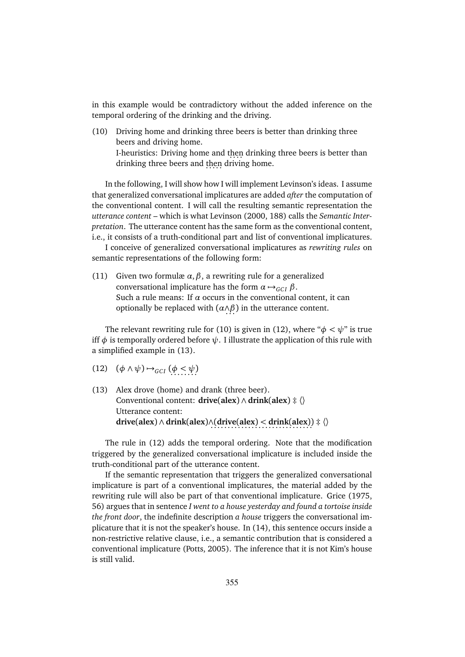in this example would be contradictory without the added inference on the temporal ordering of the drinking and the driving.

(10) Driving home and drinking three beers is better than drinking three beers and driving home. I-heuristics: Driving home and then drinking three beers is better than drinking three beers and then driving home.

In the following, I will show how I will implement Levinson's ideas. I assume that generalized conversational implicatures are added *after* the computation of the conventional content. I will call the resulting semantic representation the *utterance content* – which is what Levinson (2000, 188) calls the *Semantic Interpretation*. The utterance content has the same form as the conventional content, i.e., it consists of a truth-conditional part and list of conventional implicatures.

I conceive of generalized conversational implicatures as *rewriting rules* on semantic representations of the following form:

(11) Given two formulæ *α*,*β*, a rewriting rule for a generalized conversational implicature has the form  $\alpha \mapsto_{GCI} \beta$ . Such a rule means: If  $\alpha$  occurs in the conventional content, it can optionally be replaced with (*α*∧*β*. . . ) in the utterance content.

The relevant rewriting rule for (10) is given in (12), where " $\phi < \psi$ " is true iff  $\phi$  is temporally ordered before  $\psi$ . I illustrate the application of this rule with a simplified example in (13).

- (12)  $(\phi \land \psi) \rightarrow_{GCI} (\phi \leq \psi)$
- (13) Alex drove (home) and drank (three beer). Conventional content: **drive**(**alex**) ∧ **drink**(**alex**) ‡ 〈〉 Utterance content: **drive**(**alex**) ∧ **drink**(**alex**)∧(**drive**(**alex**) *<* **drink**(**alex**)) . . . . . . . . . . . . . . . . . . . . . . . . . . . . . . ‡ 〈〉

The rule in (12) adds the temporal ordering. Note that the modification triggered by the generalized conversational implicature is included inside the truth-conditional part of the utterance content.

If the semantic representation that triggers the generalized conversational implicature is part of a conventional implicatures, the material added by the rewriting rule will also be part of that conventional implicature. Grice (1975, 56) argues that in sentence *I went to a house yesterday and found a tortoise inside the front door*, the indefinite description *a house* triggers the conversational implicature that it is not the speaker's house. In (14), this sentence occurs inside a non-restrictive relative clause, i.e., a semantic contribution that is considered a conventional implicature (Potts, 2005). The inference that it is not Kim's house is still valid.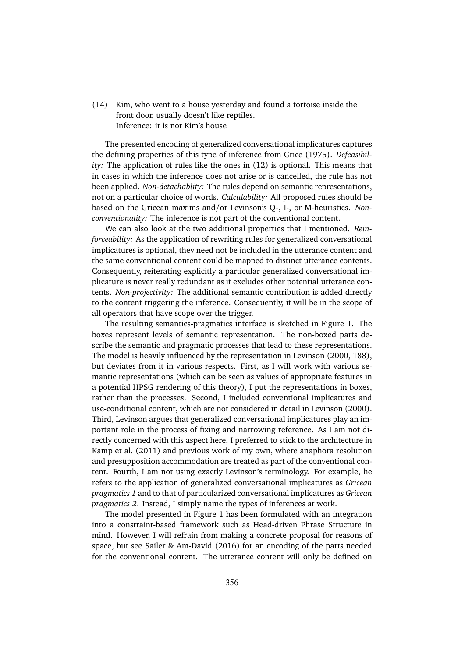(14) Kim, who went to a house yesterday and found a tortoise inside the front door, usually doesn't like reptiles. Inference: it is not Kim's house

The presented encoding of generalized conversational implicatures captures the defining properties of this type of inference from Grice (1975). *Defeasibility:* The application of rules like the ones in (12) is optional. This means that in cases in which the inference does not arise or is cancelled, the rule has not been applied. *Non-detachablity:* The rules depend on semantic representations, not on a particular choice of words. *Calculability:* All proposed rules should be based on the Gricean maxims and/or Levinson's Q-, I-, or M-heuristics. *Nonconventionality:* The inference is not part of the conventional content.

We can also look at the two additional properties that I mentioned. *Reinforceability:* As the application of rewriting rules for generalized conversational implicatures is optional, they need not be included in the utterance content and the same conventional content could be mapped to distinct utterance contents. Consequently, reiterating explicitly a particular generalized conversational implicature is never really redundant as it excludes other potential utterance contents. *Non-projectivity:* The additional semantic contribution is added directly to the content triggering the inference. Consequently, it will be in the scope of all operators that have scope over the trigger.

The resulting semantics-pragmatics interface is sketched in Figure 1. The boxes represent levels of semantic representation. The non-boxed parts describe the semantic and pragmatic processes that lead to these representations. The model is heavily influenced by the representation in Levinson (2000, 188), but deviates from it in various respects. First, as I will work with various semantic representations (which can be seen as values of appropriate features in a potential HPSG rendering of this theory), I put the representations in boxes, rather than the processes. Second, I included conventional implicatures and use-conditional content, which are not considered in detail in Levinson (2000). Third, Levinson argues that generalized conversational implicatures play an important role in the process of fixing and narrowing reference. As I am not directly concerned with this aspect here, I preferred to stick to the architecture in Kamp et al. (2011) and previous work of my own, where anaphora resolution and presupposition accommodation are treated as part of the conventional content. Fourth, I am not using exactly Levinson's terminology. For example, he refers to the application of generalized conversational implicatures as *Gricean pragmatics 1* and to that of particularized conversational implicatures as *Gricean pragmatics 2*. Instead, I simply name the types of inferences at work.

The model presented in Figure 1 has been formulated with an integration into a constraint-based framework such as Head-driven Phrase Structure in mind. However, I will refrain from making a concrete proposal for reasons of space, but see Sailer & Am-David (2016) for an encoding of the parts needed for the conventional content. The utterance content will only be defined on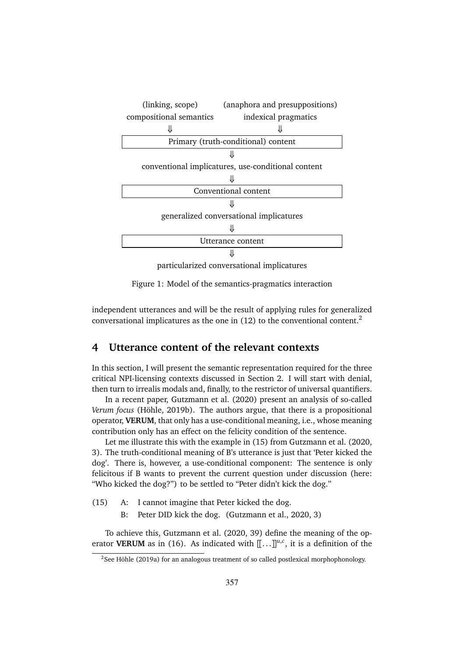

Figure 1: Model of the semantics-pragmatics interaction

independent utterances and will be the result of applying rules for generalized conversational implicatures as the one in (12) to the conventional content.<sup>2</sup>

# **4 Utterance content of the relevant contexts**

In this section, I will present the semantic representation required for the three critical NPI-licensing contexts discussed in Section 2. I will start with denial, then turn to irrealis modals and, finally, to the restrictor of universal quantifiers.

In a recent paper, Gutzmann et al. (2020) present an analysis of so-called *Verum focus* (Höhle, 2019b). The authors argue, that there is a propositional operator, **VERUM**, that only has a use-conditional meaning, i.e., whose meaning contribution only has an effect on the felicity condition of the sentence.

Let me illustrate this with the example in (15) from Gutzmann et al. (2020, 3). The truth-conditional meaning of B's utterance is just that 'Peter kicked the dog'. There is, however, a use-conditional component: The sentence is only felicitous if B wants to prevent the current question under discussion (here: "Who kicked the dog?") to be settled to "Peter didn't kick the dog."

- (15) A: I cannot imagine that Peter kicked the dog.
	- B: Peter DID kick the dog. (Gutzmann et al., 2020, 3)

To achieve this, Gutzmann et al. (2020, 39) define the meaning of the operator **VERUM** as in (16). As indicated with  $[[...]]^{u,c}$ , it is a definition of the

 $2$ See Höhle (2019a) for an analogous treatment of so called postlexical morphophonology.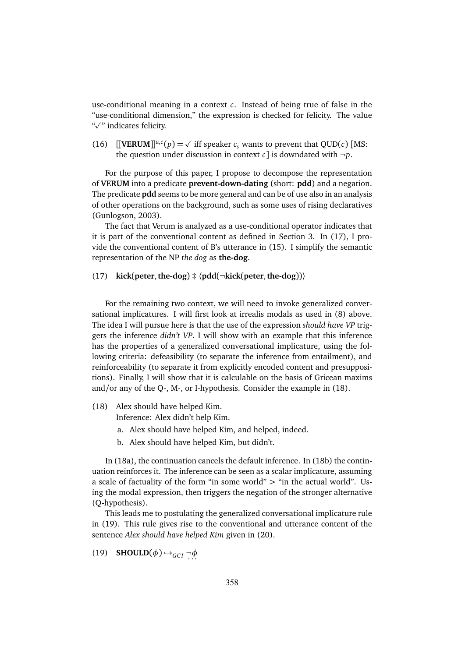use-conditional meaning in a context *c*. Instead of being true of false in the "use-conditional dimension," the expression is checked for felicity. The value "Ø" indicates felicity.

(16)  $[[\text{VERUM}]]^{u,c}(p) = \sqrt{\text{ iff speaker } c_s}$  wants to prevent that QUD(*c*) [MS: the question under discussion in context *c* is downdated with  $\neg p$ .

For the purpose of this paper, I propose to decompose the representation of **VERUM** into a predicate **prevent-down-dating** (short: **pdd**) and a negation. The predicate **pdd** seems to be more general and can be of use also in an analysis of other operations on the background, such as some uses of rising declaratives (Gunlogson, 2003).

The fact that Verum is analyzed as a use-conditional operator indicates that it is part of the conventional content as defined in Section 3. In (17), I provide the conventional content of B's utterance in (15). I simplify the semantic representation of the NP *the dog* as **the-dog**.

#### (17) **kick**(**peter**,**the-dog**) ‡ 〈**pdd**(¬**kick**(**peter**,**the-dog**))〉

For the remaining two context, we will need to invoke generalized conversational implicatures. I will first look at irrealis modals as used in (8) above. The idea I will pursue here is that the use of the expression *should have VP* triggers the inference *didn't VP*. I will show with an example that this inference has the properties of a generalized conversational implicature, using the following criteria: defeasibility (to separate the inference from entailment), and reinforceability (to separate it from explicitly encoded content and presuppositions). Finally, I will show that it is calculable on the basis of Gricean maxims and/or any of the Q-, M-, or I-hypothesis. Consider the example in (18).

(18) Alex should have helped Kim.

Inference: Alex didn't help Kim.

- a. Alex should have helped Kim, and helped, indeed.
- b. Alex should have helped Kim, but didn't.

In (18a), the continuation cancels the default inference. In (18b) the continuation reinforces it. The inference can be seen as a scalar implicature, assuming a scale of factuality of the form "in some world"  $>$  "in the actual world". Using the modal expression, then triggers the negation of the stronger alternative (Q-hypothesis).

This leads me to postulating the generalized conversational implicature rule in (19). This rule gives rise to the conventional and utterance content of the sentence *Alex should have helped Kim* given in (20).

(19) **SHOULD** $(\phi) \rightarrow_{GCI} \neg \phi$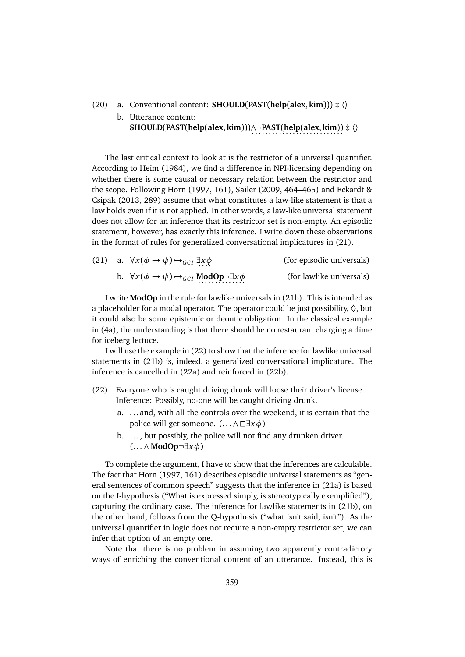#### (20) a. Conventional content: **SHOULD**(**PAST**(**help**(**alex**, **kim**))) ‡ 〈〉

b. Utterance content: **SHOULD**(**PAST**(**help**(**alex**, **kim**)))∧¬**PAST**(**help**(**alex**, **kim**)) . . . . . . . . . . . . . . . . . . . . . . . . . . . ‡ 〈〉

The last critical context to look at is the restrictor of a universal quantifier. According to Heim (1984), we find a difference in NPI-licensing depending on whether there is some causal or necessary relation between the restrictor and the scope. Following Horn (1997, 161), Sailer (2009, 464–465) and Eckardt & Csipak (2013, 289) assume that what constitutes a law-like statement is that a law holds even if it is not applied. In other words, a law-like universal statement does not allow for an inference that its restrictor set is non-empty. An episodic statement, however, has exactly this inference. I write down these observations in the format of rules for generalized conversational implicatures in (21).

|  | (21) a. $\forall x(\phi \rightarrow \psi) \rightarrow_{GCI} \exists x \phi$                | (for episodic universals) |
|--|--------------------------------------------------------------------------------------------|---------------------------|
|  | b. $\forall x(\phi \rightarrow \psi) \rightarrow_{GCI} \textbf{ModOp} \neg \exists x \phi$ | (for lawlike universals)  |

I write **ModOp** in the rule for lawlike universals in (21b). This is intended as a placeholder for a modal operator. The operator could be just possibility,  $\Diamond$ , but it could also be some epistemic or deontic obligation. In the classical example in (4a), the understanding is that there should be no restaurant charging a dime for iceberg lettuce.

I will use the example in (22) to show that the inference for lawlike universal statements in (21b) is, indeed, a generalized conversational implicature. The inference is cancelled in (22a) and reinforced in (22b).

- (22) Everyone who is caught driving drunk will loose their driver's license. Inference: Possibly, no-one will be caught driving drunk.
	- a. . . . and, with all the controls over the weekend, it is certain that the police will get someone.  $( \dots \wedge \Box \exists x \phi)$
	- b. ..., but possibly, the police will not find any drunken driver. (. . . ∧ **ModOp**¬∃*xφ*)

To complete the argument, I have to show that the inferences are calculable. The fact that Horn (1997, 161) describes episodic universal statements as "general sentences of common speech" suggests that the inference in (21a) is based on the I-hypothesis ("What is expressed simply, is stereotypically exemplified"), capturing the ordinary case. The inference for lawlike statements in (21b), on the other hand, follows from the Q-hypothesis ("what isn't said, isn't"). As the universal quantifier in logic does not require a non-empty restrictor set, we can infer that option of an empty one.

Note that there is no problem in assuming two apparently contradictory ways of enriching the conventional content of an utterance. Instead, this is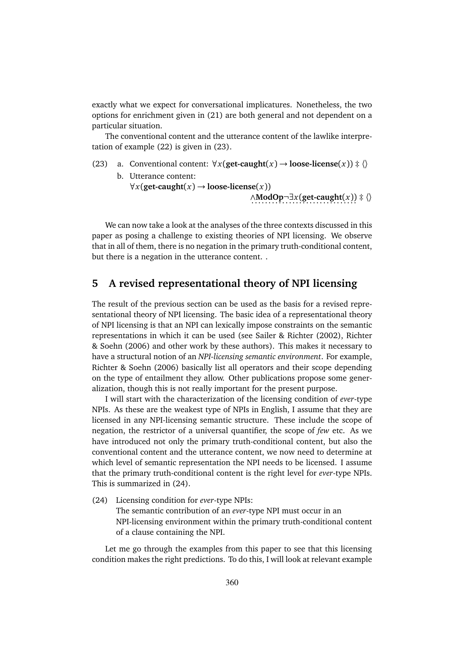exactly what we expect for conversational implicatures. Nonetheless, the two options for enrichment given in (21) are both general and not dependent on a particular situation.

The conventional content and the utterance content of the lawlike interpretation of example (22) is given in (23).

(23) a. Conventional content:  $\forall x (get-caught(x) \rightarrow loose\ti{hence}(x)) \neq \langle \rangle$ b. Utterance content:

> $\forall x$ (get-caught(*x*)  $\rightarrow$  loose-license(*x*)) ∧**ModOp**¬∃*x*(get-caught(*x*)) ‡  $\langle \rangle$

We can now take a look at the analyses of the three contexts discussed in this paper as posing a challenge to existing theories of NPI licensing. We observe that in all of them, there is no negation in the primary truth-conditional content, but there is a negation in the utterance content. .

## **5 A revised representational theory of NPI licensing**

The result of the previous section can be used as the basis for a revised representational theory of NPI licensing. The basic idea of a representational theory of NPI licensing is that an NPI can lexically impose constraints on the semantic representations in which it can be used (see Sailer & Richter (2002), Richter & Soehn (2006) and other work by these authors). This makes it necessary to have a structural notion of an *NPI-licensing semantic environment*. For example, Richter & Soehn (2006) basically list all operators and their scope depending on the type of entailment they allow. Other publications propose some generalization, though this is not really important for the present purpose.

I will start with the characterization of the licensing condition of *ever*-type NPIs. As these are the weakest type of NPIs in English, I assume that they are licensed in any NPI-licensing semantic structure. These include the scope of negation, the restrictor of a universal quantifier, the scope of *few* etc. As we have introduced not only the primary truth-conditional content, but also the conventional content and the utterance content, we now need to determine at which level of semantic representation the NPI needs to be licensed. I assume that the primary truth-conditional content is the right level for *ever*-type NPIs. This is summarized in (24).

(24) Licensing condition for *ever*-type NPIs: The semantic contribution of an *ever*-type NPI must occur in an

NPI-licensing environment within the primary truth-conditional content of a clause containing the NPI.

Let me go through the examples from this paper to see that this licensing condition makes the right predictions. To do this, I will look at relevant example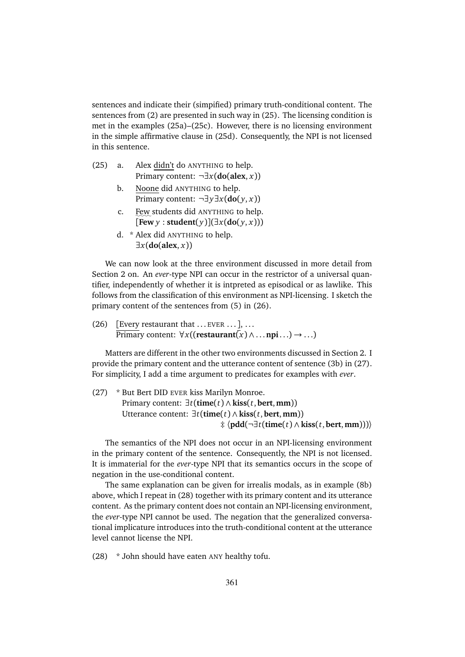sentences and indicate their (simpified) primary truth-conditional content. The sentences from (2) are presented in such way in (25). The licensing condition is met in the examples (25a)–(25c). However, there is no licensing environment in the simple affirmative clause in (25d). Consequently, the NPI is not licensed in this sentence.

- (25) a. Alex didn't do ANYTHING to help. Primary content: ¬∃*x*(**do**(**alex**, *x*))
	- b. Noone did ANYTHING to help. Primary content: ¬∃*y*∃*x*(**do**( *y*, *x*))
	- c. Few students did ANYTHING to help.  $[$  **Few** *y* : **student** $(y)[\exists x(\textbf{do}(y, x)))$
	- d. \* Alex did ANYTHING to help. ∃*x*(**do**(**alex**, *x*))

We can now look at the three environment discussed in more detail from Section 2 on. An *ever*-type NPI can occur in the restrictor of a universal quantifier, independently of whether it is intpreted as episodical or as lawlike. This follows from the classification of this environment as NPI-licensing. I sketch the primary content of the sentences from (5) in (26).

(26) [Every restaurant that  $\dots$  EVER  $\dots$ ],  $\dots$  $\overline{\text{Primary}}$  content:  $\forall x ((\text{restaurant}(x) \land \dots \text{npi} \dots) \rightarrow \dots)$ 

Matters are different in the other two environments discussed in Section 2. I provide the primary content and the utterance content of sentence (3b) in (27). For simplicity, I add a time argument to predicates for examples with *ever*.

(27) \* But Bert DID EVER kiss Marilyn Monroe. Primary content: ∃*t*(**time**(*t*) ∧ **kiss**(*t*,**bert**,**mm**)) Utterance content: ∃*t*(**time**(*t*) ∧ **kiss**(*t*,**bert**,**mm**)) ‡ 〈**pdd**(¬∃*t*(**time**(*t*) ∧ **kiss**(*t*,**bert**,**mm**)))〉

The semantics of the NPI does not occur in an NPI-licensing environment in the primary content of the sentence. Consequently, the NPI is not licensed. It is immaterial for the *ever*-type NPI that its semantics occurs in the scope of negation in the use-conditional content.

The same explanation can be given for irrealis modals, as in example (8b) above, which I repeat in (28) together with its primary content and its utterance content. As the primary content does not contain an NPI-licensing environment, the *ever*-type NPI cannot be used. The negation that the generalized conversational implicature introduces into the truth-conditional content at the utterance level cannot license the NPI.

(28) \* John should have eaten ANY healthy tofu.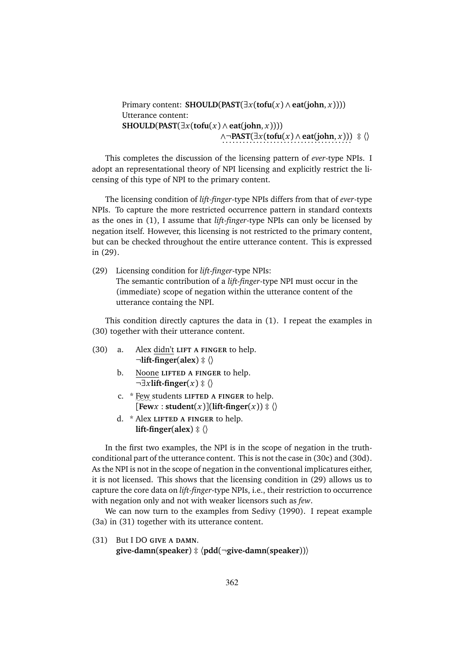```
Primary content: SHOULD(\text{PAST}(\exists x(\text{tofu}(x) \land \text{eat}(\text{john}, x)))))
Utterance content:
\text{SHOULD}(\text{PAST}(\exists x (\text{tofu}(x) \land \text{eat}(\text{john}, x))))∧¬PAST(∃x(tofu(x)∧ eat(john, x))) ‡ \
```
This completes the discussion of the licensing pattern of *ever*-type NPIs. I adopt an representational theory of NPI licensing and explicitly restrict the licensing of this type of NPI to the primary content.

The licensing condition of *lift-finger*-type NPIs differs from that of *ever*-type NPIs. To capture the more restricted occurrence pattern in standard contexts as the ones in (1), I assume that *lift-finger*-type NPIs can only be licensed by negation itself. However, this licensing is not restricted to the primary content, but can be checked throughout the entire utterance content. This is expressed in (29).

(29) Licensing condition for *lift-finger*-type NPIs: The semantic contribution of a *lift-finger*-type NPI must occur in the (immediate) scope of negation within the utterance content of the utterance containg the NPI.

This condition directly captures the data in (1). I repeat the examples in (30) together with their utterance content.

- (30) a. Alex didn't **LIFT A FINGER** to help.  $\neg$ **lift-finger**(**alex**)  $\ddagger \langle \rangle$ 
	- b. Noone **LIFTED A FINGER** to help. ¬∃*x***lift-finger**(*x*) ‡ 〈〉
	- c. \* Few students LIFTED A FINGER to help.  $\text{Fewx}: \text{student}(x) \cdot \text{lift-finger}(x)) \div \langle x \rangle$
	- d. \* Alex **LIFTED A FINGER** to help. **lift-finger**( $\textbf{alex}$ )  $\ddagger \langle \rangle$

In the first two examples, the NPI is in the scope of negation in the truthconditional part of the utterance content. This is not the case in (30c) and (30d). As the NPI is not in the scope of negation in the conventional implicatures either, it is not licensed. This shows that the licensing condition in (29) allows us to capture the core data on *lift-finger*-type NPIs, i.e., their restriction to occurrence with negation only and not with weaker licensors such as *few*.

We can now turn to the examples from Sedivy (1990). I repeat example (3a) in (31) together with its utterance content.

(31) But I DO **GIVE A DAMN**. **give-damn**(**speaker**) ‡ 〈**pdd**(¬**give-damn**(**speaker**))〉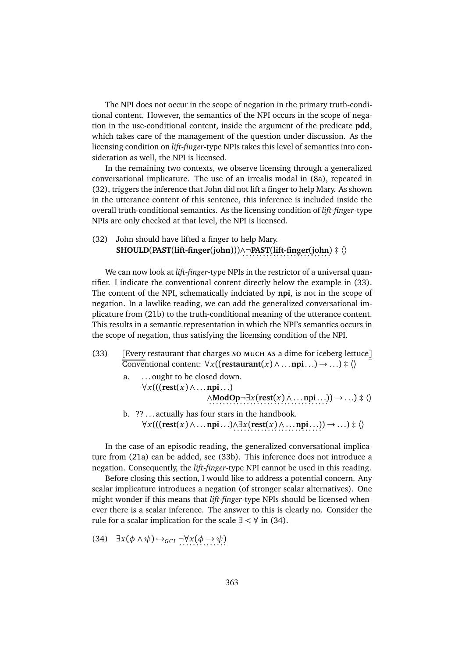The NPI does not occur in the scope of negation in the primary truth-conditional content. However, the semantics of the NPI occurs in the scope of negation in the use-conditional content, inside the argument of the predicate **pdd**, which takes care of the management of the question under discussion. As the licensing condition on *lift-finger*-type NPIs takes this level of semantics into consideration as well, the NPI is licensed.

In the remaining two contexts, we observe licensing through a generalized conversational implicature. The use of an irrealis modal in (8a), repeated in (32), triggers the inference that John did not lift a finger to help Mary. As shown in the utterance content of this sentence, this inference is included inside the overall truth-conditional semantics. As the licensing condition of *lift-finger*-type NPIs are only checked at that level, the NPI is licensed.

(32) John should have lifted a finger to help Mary. **SHOULD**(**PAST**(**lift-finger**(**john**)))∧¬**PAST**(**lift-finger**(**john**) . . . . . . . . . . . . . . . . . . . . . . . . . . ‡ 〈〉

We can now look at *lift-finger*-type NPIs in the restrictor of a universal quantifier. I indicate the conventional content directly below the example in (33). The content of the NPI, schematically indciated by **npi**, is not in the scope of negation. In a lawlike reading, we can add the generalized conversational implicature from (21b) to the truth-conditional meaning of the utterance content. This results in a semantic representation in which the NPI's semantics occurs in the scope of negation, thus satisfying the licensing condition of the NPI.

- (33) [Every restaurant that charges **SO MUCH AS** a dime for iceberg lettuce] Conventional content: ∀*x*((**restaurant**(*x*) ∧ . . .**npi**. . .) → . . .) ‡ 〈〉
	- a. . . . ought to be closed down. ∀*x*(((**rest**(*x*) ∧ . . .**npi**. . .) ∧**ModOp**¬∃*x*(**rest**(*x*)∧....**npi**....)) → ...)‡ \\
	- b. ?? . . . actually has four stars in the handbook. ∀*x*(((**rest**(*x*) ∧ . . .**npi**. . .)∧∃*x*(**rest**(*x*) ∧ . . .**npi**. . .) . . . . . . . . . . . . . . . . . . . . . . . . . . ) → . . .) ‡ 〈〉

In the case of an episodic reading, the generalized conversational implicature from (21a) can be added, see (33b). This inference does not introduce a negation. Consequently, the *lift-finger*-type NPI cannot be used in this reading.

Before closing this section, I would like to address a potential concern. Any scalar implicature introduces a negation (of stronger scalar alternatives). One might wonder if this means that *lift-finger*-type NPIs should be licensed whenever there is a scalar inference. The answer to this is clearly no. Consider the rule for a scalar implication for the scale  $\exists < \forall$  in (34).

(34)  $\exists x(\phi \land \psi) \rightarrow_{GCI} \neg \forall x(\phi \rightarrow \psi)$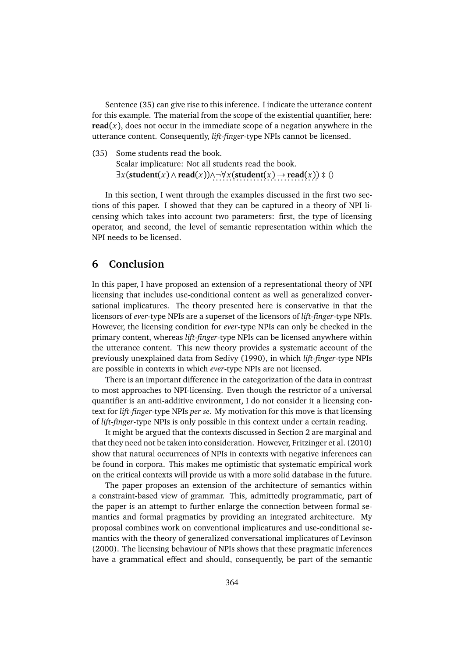Sentence (35) can give rise to this inference. I indicate the utterance content for this example. The material from the scope of the existential quantifier, here: **read** $(x)$ , does not occur in the immediate scope of a negation anywhere in the utterance content. Consequently, *lift-finger*-type NPIs cannot be licensed.

(35) Some students read the book. Scalar implicature: Not all students read the book. ∃*x*(**student**(*x*) ∧ **read**(*x*))∧¬∀*x*(**student**(*x*) → **read**(*x*)) . . . . . . . . . . . . . . . . . . . . . . . . . . . . . . . ‡ 〈〉

In this section, I went through the examples discussed in the first two sections of this paper. I showed that they can be captured in a theory of NPI licensing which takes into account two parameters: first, the type of licensing operator, and second, the level of semantic representation within which the NPI needs to be licensed.

# **6 Conclusion**

In this paper, I have proposed an extension of a representational theory of NPI licensing that includes use-conditional content as well as generalized conversational implicatures. The theory presented here is conservative in that the licensors of *ever*-type NPIs are a superset of the licensors of *lift-finger*-type NPIs. However, the licensing condition for *ever*-type NPIs can only be checked in the primary content, whereas *lift-finger*-type NPIs can be licensed anywhere within the utterance content. This new theory provides a systematic account of the previously unexplained data from Sedivy (1990), in which *lift-finger*-type NPIs are possible in contexts in which *ever*-type NPIs are not licensed.

There is an important difference in the categorization of the data in contrast to most approaches to NPI-licensing. Even though the restrictor of a universal quantifier is an anti-additive environment, I do not consider it a licensing context for *lift-finger*-type NPIs *per se*. My motivation for this move is that licensing of *lift-finger*-type NPIs is only possible in this context under a certain reading.

It might be argued that the contexts discussed in Section 2 are marginal and that they need not be taken into consideration. However, Fritzinger et al. (2010) show that natural occurrences of NPIs in contexts with negative inferences can be found in corpora. This makes me optimistic that systematic empirical work on the critical contexts will provide us with a more solid database in the future.

The paper proposes an extension of the architecture of semantics within a constraint-based view of grammar. This, admittedly programmatic, part of the paper is an attempt to further enlarge the connection between formal semantics and formal pragmatics by providing an integrated architecture. My proposal combines work on conventional implicatures and use-conditional semantics with the theory of generalized conversational implicatures of Levinson (2000). The licensing behaviour of NPIs shows that these pragmatic inferences have a grammatical effect and should, consequently, be part of the semantic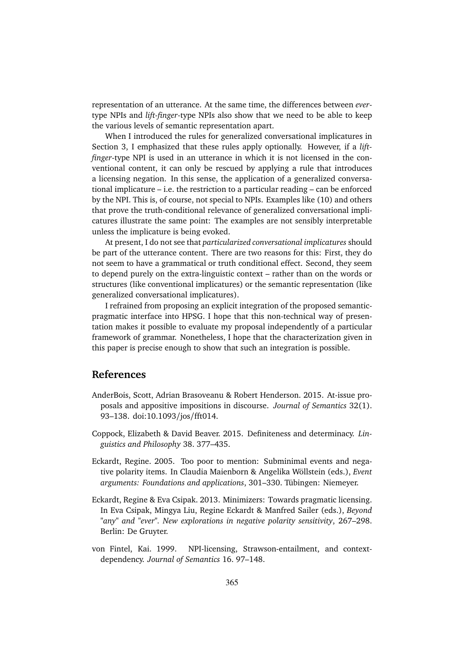representation of an utterance. At the same time, the differences between *ever*type NPIs and *lift-finger*-type NPIs also show that we need to be able to keep the various levels of semantic representation apart.

When I introduced the rules for generalized conversational implicatures in Section 3, I emphasized that these rules apply optionally. However, if a *liftfinger*-type NPI is used in an utterance in which it is not licensed in the conventional content, it can only be rescued by applying a rule that introduces a licensing negation. In this sense, the application of a generalized conversational implicature – i.e. the restriction to a particular reading – can be enforced by the NPI. This is, of course, not special to NPIs. Examples like (10) and others that prove the truth-conditional relevance of generalized conversational implicatures illustrate the same point: The examples are not sensibly interpretable unless the implicature is being evoked.

At present, I do not see that *particularized conversational implicatures* should be part of the utterance content. There are two reasons for this: First, they do not seem to have a grammatical or truth conditional effect. Second, they seem to depend purely on the extra-linguistic context – rather than on the words or structures (like conventional implicatures) or the semantic representation (like generalized conversational implicatures).

I refrained from proposing an explicit integration of the proposed semanticpragmatic interface into HPSG. I hope that this non-technical way of presentation makes it possible to evaluate my proposal independently of a particular framework of grammar. Nonetheless, I hope that the characterization given in this paper is precise enough to show that such an integration is possible.

## **References**

- AnderBois, Scott, Adrian Brasoveanu & Robert Henderson. 2015. At-issue proposals and appositive impositions in discourse. *Journal of Semantics* 32(1). 93–138. doi:10.1093/jos/fft014.
- Coppock, Elizabeth & David Beaver. 2015. Definiteness and determinacy. *Linguistics and Philosophy* 38. 377–435.
- Eckardt, Regine. 2005. Too poor to mention: Subminimal events and negative polarity items. In Claudia Maienborn & Angelika Wöllstein (eds.), *Event arguments: Foundations and applications*, 301–330. Tübingen: Niemeyer.
- Eckardt, Regine & Eva Csipak. 2013. Minimizers: Towards pragmatic licensing. In Eva Csipak, Mingya Liu, Regine Eckardt & Manfred Sailer (eds.), *Beyond "any" and "ever". New explorations in negative polarity sensitivity*, 267–298. Berlin: De Gruyter.
- von Fintel, Kai. 1999. NPI-licensing, Strawson-entailment, and contextdependency. *Journal of Semantics* 16. 97–148.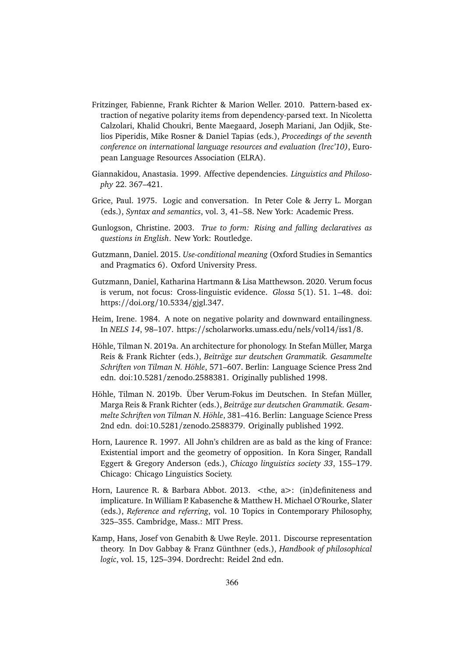- Fritzinger, Fabienne, Frank Richter & Marion Weller. 2010. Pattern-based extraction of negative polarity items from dependency-parsed text. In Nicoletta Calzolari, Khalid Choukri, Bente Maegaard, Joseph Mariani, Jan Odjik, Stelios Piperidis, Mike Rosner & Daniel Tapias (eds.), *Proceedings of the seventh conference on international language resources and evaluation (lrec'10)*, European Language Resources Association (ELRA).
- Giannakidou, Anastasia. 1999. Affective dependencies. *Linguistics and Philosophy* 22. 367–421.
- Grice, Paul. 1975. Logic and conversation. In Peter Cole & Jerry L. Morgan (eds.), *Syntax and semantics*, vol. 3, 41–58. New York: Academic Press.
- Gunlogson, Christine. 2003. *True to form: Rising and falling declaratives as questions in English*. New York: Routledge.
- Gutzmann, Daniel. 2015. *Use-conditional meaning* (Oxford Studies in Semantics and Pragmatics 6). Oxford University Press.
- Gutzmann, Daniel, Katharina Hartmann & Lisa Matthewson. 2020. Verum focus is verum, not focus: Cross-linguistic evidence. *Glossa* 5(1). 51. 1–48. doi: https://doi.org/10.5334/gjgl.347.
- Heim, Irene. 1984. A note on negative polarity and downward entailingness. In *NELS 14*, 98–107. https://scholarworks.umass.edu/nels/vol14/iss1/8.
- Höhle, Tilman N. 2019a. An architecture for phonology. In Stefan Müller, Marga Reis & Frank Richter (eds.), *Beiträge zur deutschen Grammatik. Gesammelte Schriften von Tilman N. Höhle*, 571–607. Berlin: Language Science Press 2nd edn. doi:10.5281/zenodo.2588381. Originally published 1998.
- Höhle, Tilman N. 2019b. Über Verum-Fokus im Deutschen. In Stefan Müller, Marga Reis & Frank Richter (eds.), *Beiträge zur deutschen Grammatik. Gesammelte Schriften von Tilman N. Höhle*, 381–416. Berlin: Language Science Press 2nd edn. doi:10.5281/zenodo.2588379. Originally published 1992.
- Horn, Laurence R. 1997. All John's children are as bald as the king of France: Existential import and the geometry of opposition. In Kora Singer, Randall Eggert & Gregory Anderson (eds.), *Chicago linguistics society 33*, 155–179. Chicago: Chicago Linguistics Society.
- Horn, Laurence R. & Barbara Abbot. 2013. *<*the, a*>*: (in)definiteness and implicature. In William P. Kabasenche & Matthew H. Michael O'Rourke, Slater (eds.), *Reference and referring*, vol. 10 Topics in Contemporary Philosophy, 325–355. Cambridge, Mass.: MIT Press.
- Kamp, Hans, Josef von Genabith & Uwe Reyle. 2011. Discourse representation theory. In Dov Gabbay & Franz Günthner (eds.), *Handbook of philosophical logic*, vol. 15, 125–394. Dordrecht: Reidel 2nd edn.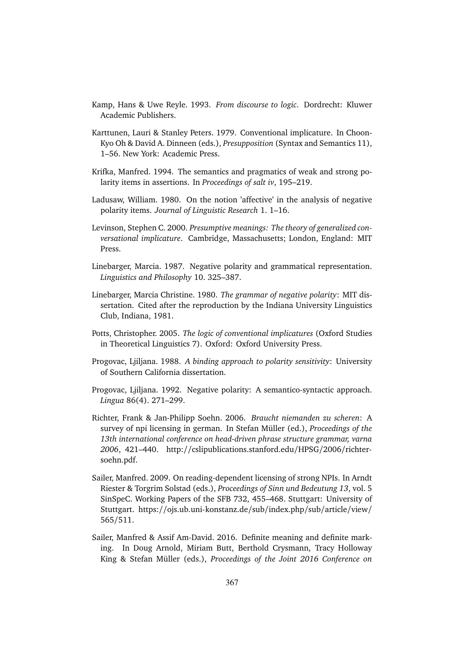- Kamp, Hans & Uwe Reyle. 1993. *From discourse to logic*. Dordrecht: Kluwer Academic Publishers.
- Karttunen, Lauri & Stanley Peters. 1979. Conventional implicature. In Choon-Kyo Oh & David A. Dinneen (eds.), *Presupposition* (Syntax and Semantics 11), 1–56. New York: Academic Press.
- Krifka, Manfred. 1994. The semantics and pragmatics of weak and strong polarity items in assertions. In *Proceedings of salt iv*, 195–219.
- Ladusaw, William. 1980. On the notion 'affective' in the analysis of negative polarity items. *Journal of Linguistic Research* 1. 1–16.
- Levinson, Stephen C. 2000. *Presumptive meanings: The theory of generalized conversational implicature*. Cambridge, Massachusetts; London, England: MIT Press.
- Linebarger, Marcia. 1987. Negative polarity and grammatical representation. *Linguistics and Philosophy* 10. 325–387.
- Linebarger, Marcia Christine. 1980. *The grammar of negative polarity*: MIT dissertation. Cited after the reproduction by the Indiana University Linguistics Club, Indiana, 1981.
- Potts, Christopher. 2005. *The logic of conventional implicatures* (Oxford Studies in Theoretical Linguistics 7). Oxford: Oxford University Press.
- Progovac, Ljiljana. 1988. *A binding approach to polarity sensitivity*: University of Southern California dissertation.
- Progovac, Ljiljana. 1992. Negative polarity: A semantico-syntactic approach. *Lingua* 86(4). 271–299.
- Richter, Frank & Jan-Philipp Soehn. 2006. *Braucht niemanden zu scheren*: A survey of npi licensing in german. In Stefan Müller (ed.), *Proceedings of the 13th international conference on head-driven phrase structure grammar, varna 2006*, 421–440. http://cslipublications.stanford.edu/HPSG/2006/richtersoehn.pdf.
- Sailer, Manfred. 2009. On reading-dependent licensing of strong NPIs. In Arndt Riester & Torgrim Solstad (eds.), *Proceedings of Sinn und Bedeutung 13*, vol. 5 SinSpeC. Working Papers of the SFB 732, 455–468. Stuttgart: University of Stuttgart. https://ojs.ub.uni-konstanz.de/sub/index.php/sub/article/view/ 565/511.
- Sailer, Manfred & Assif Am-David. 2016. Definite meaning and definite marking. In Doug Arnold, Miriam Butt, Berthold Crysmann, Tracy Holloway King & Stefan Müller (eds.), *Proceedings of the Joint 2016 Conference on*